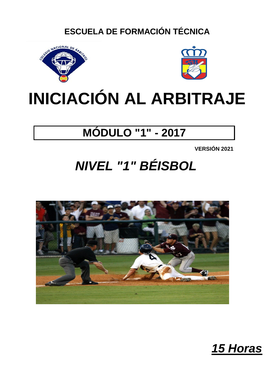## **ESCUELA DE FORMACIÓN TÉCNICA**





## **INICIACIÓN AL ARBITRAJE**

## **MÓDULO "1" - 2017**

**VERSIÓN 2021**

## *NIVEL "1" BÉISBOL*



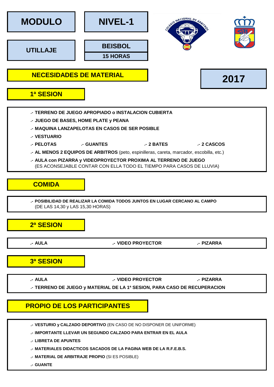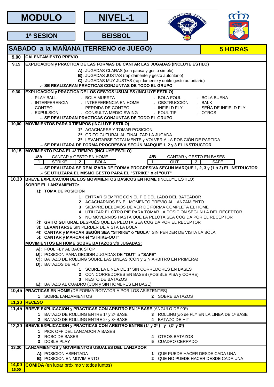**MODULO NIVEL-1**







**1ª SESION BEISBOL**

|                | SABADO a la MAÑANA (TERRENO de JUEGO)                                                                                                                                                                                                                                                                                                                                                                                                            | <b>5 HORAS</b>                                                 |  |  |  |  |  |  |  |
|----------------|--------------------------------------------------------------------------------------------------------------------------------------------------------------------------------------------------------------------------------------------------------------------------------------------------------------------------------------------------------------------------------------------------------------------------------------------------|----------------------------------------------------------------|--|--|--|--|--|--|--|
| 9,00           | <b>CALENTAMIENTO PREVIO</b>                                                                                                                                                                                                                                                                                                                                                                                                                      |                                                                |  |  |  |  |  |  |  |
| 9,15           | <b>EXPLICACION y PRACTICA DE LAS FORMAS DE CANTAR LAS JUGADAS (INCLUYE ESTILO)</b>                                                                                                                                                                                                                                                                                                                                                               |                                                                |  |  |  |  |  |  |  |
|                | A): JUGADAS CLARAS (con pausa y gesto simple)<br>B): JUGADAS JUSTAS (rapidamente y gesto autoritario)<br>C): JUGADAS MUY JUSTAS (rapidamente y doble gesto autoritario)<br>.- SE REALIZARAN PRACTICAS CONJUNTAS DE TODO EL GRUPO                                                                                                                                                                                                                 |                                                                |  |  |  |  |  |  |  |
| 9,30           | <b>EXPLICACION y PRACTICA DE LOS GESTOS USUALES (INCLUYE ESTILO)</b>                                                                                                                                                                                                                                                                                                                                                                             |                                                                |  |  |  |  |  |  |  |
|                | .- PLAY BALL<br>.- BOLA MUERTA<br>.- BOLA FOUL<br>.- BOLA MUERTA<br>.- INTERFERENCIA EN HOME<br>.- INTERFERENCIA<br>.- OBSTRUCCIÓN<br>.- CONTEO<br>.- INFIELD FLY<br>.- PERDIDA DE CONTEO<br>.- CONSULTA MEDIO SWING<br>.- EXPULSION<br>.- FOUL TIP<br>.- SE REALIZARAN PRACTICAS CONJUNTAS DE TODO EL GRUPO                                                                                                                                     | .- BOLA BUENA<br>.- BALK<br>.- SEÑA DE INFIELD FLY<br>.- OTROS |  |  |  |  |  |  |  |
|                | 10,00 MOVIMIENTOS PARA 3 TIEMPOS (INCLUYE ESTILO)                                                                                                                                                                                                                                                                                                                                                                                                |                                                                |  |  |  |  |  |  |  |
|                | 1º AGACHARSE Y TOMAR POSICION<br>2º GRITO GUTURAL AL FINALIZAR LA JUGADA<br>3º LEVANTARSE TOTALMENTE y VOLVER A LA POSICIÓN DE PARTIDA<br>.- SE REALIZARA DE FORMA PROGRESIVA SEGÚN MARQUE 1, 2 y 3 EL INSTRUCTOR                                                                                                                                                                                                                                |                                                                |  |  |  |  |  |  |  |
| 10,15          | <b>MOVIMIENTO PARA EL 4º TIEMPO (INCLUYE ESTILO)</b>                                                                                                                                                                                                                                                                                                                                                                                             |                                                                |  |  |  |  |  |  |  |
|                | CANTAR y GESTO EN HOME<br>4ºB<br>CANTAR y GESTO EN BASES<br>4ºА<br>$\mathbf{1}$<br>$\blacktriangleleft$<br><b>STRIKE</b><br><b>OUT</b><br>$\overline{2}$<br>$\overline{2}$<br><b>BOLA</b><br>.- SE REALIZARA SE REALIZARA DE FORMA PROGRESIVA SEGUN MARQUE 1, 2, 3 y (1 ó 2) EL INSTRUCTOR                                                                                                                                                       | <b>SAFE</b>                                                    |  |  |  |  |  |  |  |
|                | .- SE UTILIZARA EL MISMO GESTO PARA EL "STRIKE" o el "OUT"                                                                                                                                                                                                                                                                                                                                                                                       |                                                                |  |  |  |  |  |  |  |
| 10,30          | BREVE EXPLICACION DE LOS MOVIMIENTOS BASICOS EN HOME (INCLUYE ESTILO)<br><b>SOBRE EL LANZAMIENTO:</b>                                                                                                                                                                                                                                                                                                                                            |                                                                |  |  |  |  |  |  |  |
|                | 1): TOMA DE POSICION                                                                                                                                                                                                                                                                                                                                                                                                                             |                                                                |  |  |  |  |  |  |  |
|                | 1 ENTRAR SIEMPRE CON EL PIE DEL LADO DEL BATEADOR                                                                                                                                                                                                                                                                                                                                                                                                |                                                                |  |  |  |  |  |  |  |
|                | 2 AGACHARNOS EN EL MOMENTO PREVIO AL LANZAMIENTO<br>3 SIEMPRE DEBEMOS DE VER DE FORMA COMPLETA EL HOME<br>4 UTILIZAR EL OTRO PIE PARA TOMAR LA POSICION SEGÚN LA DEL RECEPTOR<br>5 NO MOVERNOS HASTA QUE LA PELOTA SEA COGIDA POR EL RECEPTOR<br>2): GRITO GUTURAL DESPUÉS QUE LA PELOTA SEA COGIDA POR EL RECEPTOR<br>3): LEVANTARSE SIN PERDER DE VISTA LA BOLA<br>4): CANTAR y MARCAR SEGÚN SEA "STRIKE" o "BOLA" SIN PERDER DE VISTA LA BOLA |                                                                |  |  |  |  |  |  |  |
|                | 5): CANTAR y MARCAR el "STRIKE-OUT"<br><b>MOVIMIENTOS EN HOME SOBRE BATAZOS y/o JUGADAS:</b>                                                                                                                                                                                                                                                                                                                                                     |                                                                |  |  |  |  |  |  |  |
|                | A): FOUL FLY AL BACK STOP<br><b>B): POSICION PARA DECIDIR JUGADAS DE "OUT" o "SAFE"</b><br>C): BATAZO DE ROLLING SOBRE LAS LINEAS (CON y SIN ARBITRO EN PRIMERA)<br>D): BATAZOS DE FLY<br>1 SOBRE LA LINEA DE 1ª SIN CORREDORES EN BASES                                                                                                                                                                                                         |                                                                |  |  |  |  |  |  |  |
|                | 2 CON CORREDORES EN BASES (POSIBLE PISA y CORRE)<br>3 RESTO DE BATAZOS<br>E): BATAZO AL CUADRO (CON y SIN HOMBRES EN BASE)                                                                                                                                                                                                                                                                                                                       |                                                                |  |  |  |  |  |  |  |
|                | 10,45 PRACTICAS EN HOME (DE FORMA ROTATORIA POR LOS ASISTENTES)                                                                                                                                                                                                                                                                                                                                                                                  |                                                                |  |  |  |  |  |  |  |
|                | 1 SOBRE LANZAMIENTOS<br>2 SOBRE BATAZOS                                                                                                                                                                                                                                                                                                                                                                                                          |                                                                |  |  |  |  |  |  |  |
|                | <b>11,30 RECESO</b>                                                                                                                                                                                                                                                                                                                                                                                                                              |                                                                |  |  |  |  |  |  |  |
|                | 11,45 BREVE EXPLICACION y PRACTICAS CON ARBITRO EN 1ª BASE (ANGULO DE 90°)                                                                                                                                                                                                                                                                                                                                                                       |                                                                |  |  |  |  |  |  |  |
|                | 1 BATAZO DE ROLLING ENTRE 1ª y 2ª BASE<br>2 BATAZO DE ROLLING ENTRE 2ª y 3ª BASE<br>4 BATAZO DE HIT                                                                                                                                                                                                                                                                                                                                              | 3 ROLLING y/o de FLY EN LA LINEA DE 1ª BASE                    |  |  |  |  |  |  |  |
|                | 12,30 BREVE EXPLICACION y PRACTICAS CON ARBITRO ENTRE (1ª y 2ª) y (2ª y 3ª)                                                                                                                                                                                                                                                                                                                                                                      |                                                                |  |  |  |  |  |  |  |
|                | 1 PICK OFF DEL LANZADOR A BASES<br>2 ROBO DE BASES<br>4 OTROS BATAZOS<br>3 DOBLE PLAY<br>5 CUADRO CERRADO                                                                                                                                                                                                                                                                                                                                        |                                                                |  |  |  |  |  |  |  |
| 13,30          | <b>LANZAMIENTOS y MOVIMIENTOS USUALES DEL LANZADOR</b>                                                                                                                                                                                                                                                                                                                                                                                           |                                                                |  |  |  |  |  |  |  |
|                | A): POSICION ASENTADA<br>1 QUE PUEDE HACER DESDE CADA UNA<br><b>B): POSICION EN MOVIMIENTO</b><br>2 QUE NO PUEDE HACER DESDE CADA UNA                                                                                                                                                                                                                                                                                                            |                                                                |  |  |  |  |  |  |  |
| 14,00<br>16,00 | <b>COMIDA</b> (en lugar próximo y todos juntos)                                                                                                                                                                                                                                                                                                                                                                                                  |                                                                |  |  |  |  |  |  |  |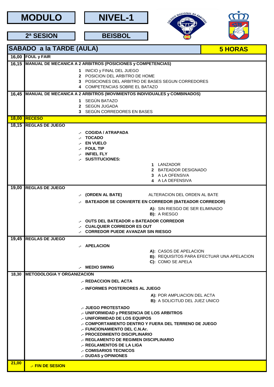



**BEISBOL**





**2ª SESION**

**.- FIN DE SESION**

|       | <b>SABADO a la TARDE (AULA)</b><br><b>5 HORAS</b>                                      |  |  |  |  |
|-------|----------------------------------------------------------------------------------------|--|--|--|--|
|       | 16,00 FOUL y FAIR                                                                      |  |  |  |  |
|       | 16,15 MANUAL DE MECANICA A 2 ARBITROS (POSICIONES y COMPETENCIAS)                      |  |  |  |  |
|       | 1 INICIO y FINAL DEL JUEGO                                                             |  |  |  |  |
|       | 2 POSICION DEL ARBITRO DE HOME<br>3 POSICIONES DEL ARBITRO DE BASES SEGUN CORREDORES   |  |  |  |  |
|       | 4 COMPETENCIAS SOBRE EL BATAZO                                                         |  |  |  |  |
| 16,45 | MANUAL DE MECANICA A 2 ARBITROS (MOVIMIENTOS INDIVIDUALES y COMBINADOS)                |  |  |  |  |
|       | 1 SEGÚN BATAZO                                                                         |  |  |  |  |
|       | 2 SEGÚN JUGADA<br>3 SEGÚN CORREDORES EN BASES                                          |  |  |  |  |
|       | <b>18,00 RECESO</b>                                                                    |  |  |  |  |
|       | 18,15 REGLAS DE JUEGO                                                                  |  |  |  |  |
|       | <b>COGIDA / ATRAPADA</b>                                                               |  |  |  |  |
|       | <b>TOCADO</b>                                                                          |  |  |  |  |
|       | <b>EN VUELO</b>                                                                        |  |  |  |  |
|       | <b>FOUL TIP</b><br><b>INFIEL FLY</b>                                                   |  |  |  |  |
|       | <b>SUSTITUCIONES:</b>                                                                  |  |  |  |  |
|       | 1 LANZADOR                                                                             |  |  |  |  |
|       | 2 BATEADOR DESIGNADO<br>3 A LA OFENSIVA                                                |  |  |  |  |
|       | 4 A LA DEFENSIVA                                                                       |  |  |  |  |
| 19,00 | <b>REGLAS DE JUEGO</b>                                                                 |  |  |  |  |
|       | (ORDEN AL BATE)<br>ALTERACION DEL ORDEN AL BATE                                        |  |  |  |  |
|       | <b>BATEADOR SE CONVIERTE EN CORREDOR (BATEADOR CORREDOR)</b>                           |  |  |  |  |
|       | A): SIN RIESGO DE SER ELIMINADO                                                        |  |  |  |  |
|       | B): A RIESGO                                                                           |  |  |  |  |
|       | <b>OUTS DEL BATEADOR o BATEADOR CORREDOR</b><br><b>CUALQUIER CORREDOR ES OUT</b>       |  |  |  |  |
|       | <b>CORREDOR PUEDE AVANZAR SIN RIESGO</b>                                               |  |  |  |  |
| 19,45 | <b>REGLAS DE JUEGO</b>                                                                 |  |  |  |  |
|       | .- APELACION                                                                           |  |  |  |  |
|       | A): CASOS DE APELACION                                                                 |  |  |  |  |
|       | B): REQUISITOS PARA EFECTUAR UNA APELACION<br>C): COMO SE APELA                        |  |  |  |  |
|       | - MEDIO SWING                                                                          |  |  |  |  |
| 18,30 | <b>METODOLOGIA Y ORGANIZACION</b>                                                      |  |  |  |  |
|       | .- REDACCION DEL ACTA                                                                  |  |  |  |  |
|       | .- INFORMES POSTERIORES AL JUEGO                                                       |  |  |  |  |
|       | A): POR AMPLIACION DEL ACTA<br><b>B): A SOLICITUD DEL JUEZ UNICO</b>                   |  |  |  |  |
|       | .- JUEGO PROTESTADO                                                                    |  |  |  |  |
|       | .- UNIFORMIDAD y PRESENCIA DE LOS ARBITROS                                             |  |  |  |  |
|       | .- UNIFORMIDAD DE LOS EQUIPOS                                                          |  |  |  |  |
|       | .- COMPORTAMIENTO DENTRO Y FUERA DEL TERRENO DE JUEGO<br>.- FUNCIONAMIENTO DEL C.N.Ar. |  |  |  |  |
|       | .- PROCEDIMIENTO DISCIPLINARIO                                                         |  |  |  |  |
|       | .- REGLAMENTO DE REGIMEN DISCIPLINARIO                                                 |  |  |  |  |
|       | .- REGLAMENTOS DE LA LIGA<br>.- COMISARIOS TECNICOS                                    |  |  |  |  |
|       | .- DUDAS y OPINIONES                                                                   |  |  |  |  |
| 21,00 | <b>EIN DE CECION</b>                                                                   |  |  |  |  |